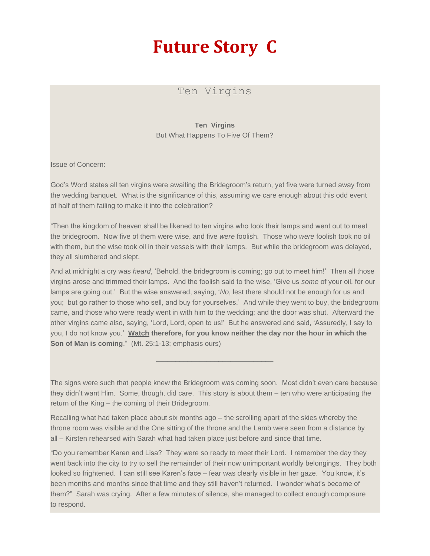## **Future Story C**

## Ten Virgins

**Ten Virgins** But What Happens To Five Of Them?

Issue of Concern:

God's Word states all ten virgins were awaiting the Bridegroom's return, yet five were turned away from the wedding banquet. What is the significance of this, assuming we care enough about this odd event of half of them failing to make it into the celebration?

"Then the kingdom of heaven shall be likened to ten virgins who took their lamps and went out to meet the bridegroom. Now five of them were wise, and five *were* foolish. Those who *were* foolish took no oil with them, but the wise took oil in their vessels with their lamps. But while the bridegroom was delayed, they all slumbered and slept.

And at midnight a cry was *heard*, 'Behold, the bridegroom is coming; go out to meet him!' Then all those virgins arose and trimmed their lamps. And the foolish said to the wise, 'Give us *some* of your oil, for our lamps are going out.' But the wise answered, saying, '*No*, lest there should not be enough for us and you; but go rather to those who sell, and buy for yourselves.' And while they went to buy, the bridegroom came, and those who were ready went in with him to the wedding; and the door was shut. Afterward the other virgins came also, saying, 'Lord, Lord, open to us!' But he answered and said, 'Assuredly, I say to you, I do not know you.' **Watch therefore, for you know neither the day nor the hour in which the Son of Man is coming**." (Mt. 25:1-13; emphasis ours)

The signs were such that people knew the Bridegroom was coming soon. Most didn't even care because they didn't want Him. Some, though, did care. This story is about them – ten who were anticipating the return of the King – the coming of their Bridegroom.

\_\_\_\_\_\_\_\_\_\_\_\_\_\_\_\_\_\_\_\_\_\_\_\_\_\_\_\_\_\_

Recalling what had taken place about six months ago – the scrolling apart of the skies whereby the throne room was visible and the One sitting of the throne and the Lamb were seen from a distance by all – Kirsten rehearsed with Sarah what had taken place just before and since that time.

"Do you remember Karen and Lisa? They were so ready to meet their Lord. I remember the day they went back into the city to try to sell the remainder of their now unimportant worldly belongings. They both looked so frightened. I can still see Karen's face – fear was clearly visible in her gaze. You know, it's been months and months since that time and they still haven't returned. I wonder what's become of them?" Sarah was crying. After a few minutes of silence, she managed to collect enough composure to respond.